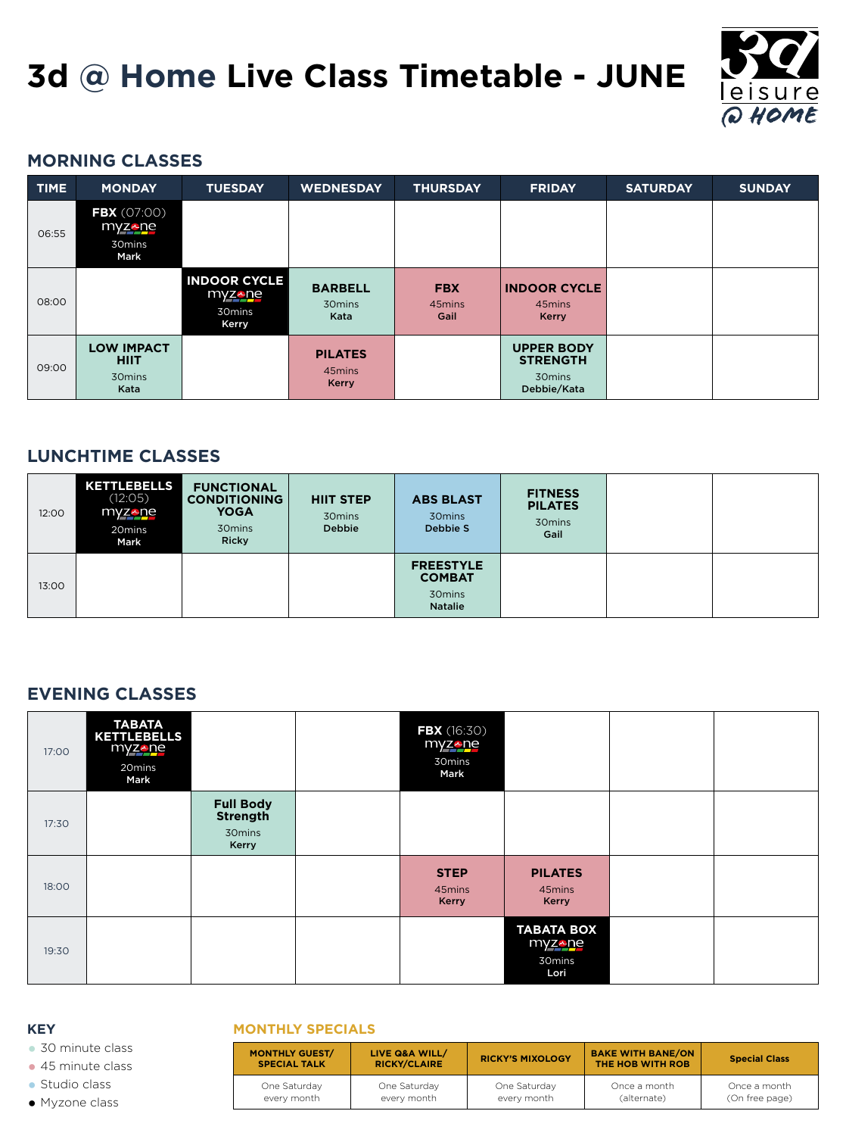# **MORNING CLASSES**

#### **KEY MONTHLY SPECIALS**

**•** 30 minute class

**•** 45 minute class

**•** Studio class

**•** Myzone class

| <b>MONTHLY GUEST/</b><br><b>SPECIAL TALK</b> | LIVE Q&A WILL/<br><b>RICKY/CLAIRE</b> | <b>RICKY'S MIXOLOGY</b> | <b>BAKE WITH BANE/ON</b><br>THE HOB WITH ROB | <b>Special Class</b> |
|----------------------------------------------|---------------------------------------|-------------------------|----------------------------------------------|----------------------|
| One Saturday                                 | One Saturday                          | One Saturday            | Once a month                                 | Once a month         |
| every month                                  | every month                           | every month             | (alternate)                                  | (On free page)       |



| <b>TIME</b> | <b>MONDAY</b>                                                      | <b>TUESDAY</b>                                          | <b>WEDNESDAY</b>                         | <b>THURSDAY</b>              | <b>FRIDAY</b>                                                             | <b>SATURDAY</b> | <b>SUNDAY</b> |
|-------------|--------------------------------------------------------------------|---------------------------------------------------------|------------------------------------------|------------------------------|---------------------------------------------------------------------------|-----------------|---------------|
| 06:55       | <b>FBX</b> (07:00)<br>myz <sub>e</sub> ne<br>30mins<br><b>Mark</b> |                                                         |                                          |                              |                                                                           |                 |               |
| 08:00       |                                                                    | <b>INDOOR CYCLE</b><br>myzene<br>30mins<br><b>Kerry</b> | <b>BARBELL</b><br>30mins<br>Kata         | <b>FBX</b><br>45mins<br>Gail | <b>INDOOR CYCLE</b><br>45mins<br><b>Kerry</b>                             |                 |               |
| 09:00       | <b>LOW IMPACT</b><br><b>HIIT</b><br>30 mins<br>Kata                |                                                         | <b>PILATES</b><br>45mins<br><b>Kerry</b> |                              | <b>UPPER BODY</b><br><b>STRENGTH</b><br>30 <sub>mins</sub><br>Debbie/Kata |                 |               |

# **LUNCHTIME CLASSES**

| 12:00 | <b>KETTLEBELLS</b><br>(12:05)<br>myzene<br>20mins<br><b>Mark</b> | <b>FUNCTIONAL</b><br><b>CONDITIONING</b><br><b>YOGA</b><br>30mins<br><b>Ricky</b> | <b>HIIT STEP</b><br>30mins<br><b>Debbie</b> | <b>ABS BLAST</b><br>30mins<br>Debbie S                        | <b>FITNESS</b><br><b>PILATES</b><br>30mins<br>Gail |  |
|-------|------------------------------------------------------------------|-----------------------------------------------------------------------------------|---------------------------------------------|---------------------------------------------------------------|----------------------------------------------------|--|
| 13:00 |                                                                  |                                                                                   |                                             | <b>FREESTYLE</b><br><b>COMBAT</b><br>30mins<br><b>Natalie</b> |                                                    |  |

# **EVENING CLASSES**

| 17:00 | <b>TABATA</b><br><b>KETTLEBELLS</b><br>myzene<br>20mins<br><b>Mark</b> |                                                        | <b>FBX</b> (16:30)<br>myzene<br>30mins<br><b>Mark</b> |                                               |  |
|-------|------------------------------------------------------------------------|--------------------------------------------------------|-------------------------------------------------------|-----------------------------------------------|--|
| 17:30 |                                                                        | <b>Full Body</b><br><b>Strength</b><br>30mins<br>Kerry |                                                       |                                               |  |
| 18:00 |                                                                        |                                                        | <b>STEP</b><br>45mins<br><b>Kerry</b>                 | <b>PILATES</b><br>45mins<br><b>Kerry</b>      |  |
| 19:30 |                                                                        |                                                        |                                                       | <b>TABATA BOX</b><br>myzene<br>30mins<br>Lori |  |